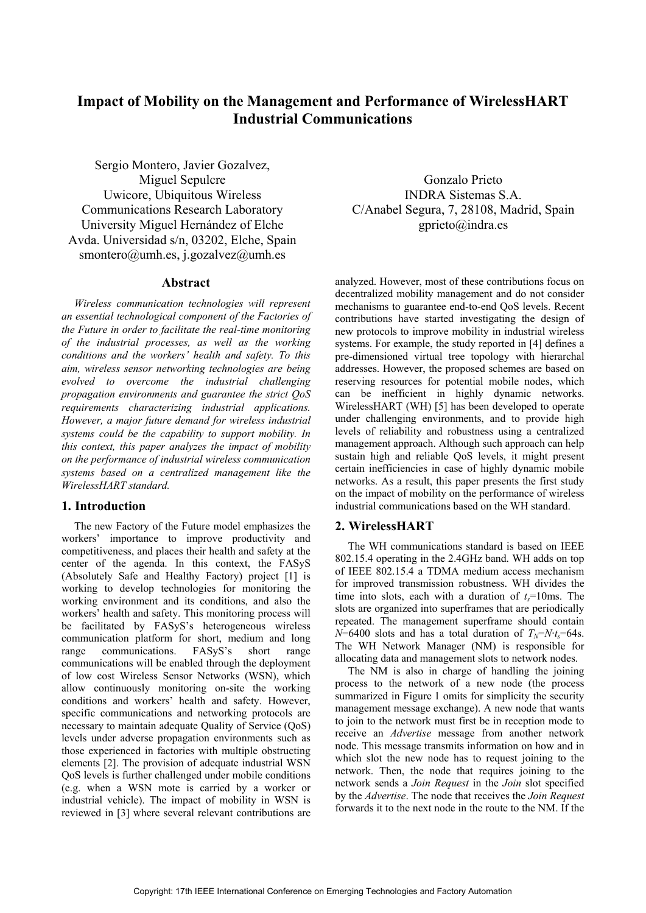# **Impact of Mobility on the Management and Performance of WirelessHART Industrial Communications**

Sergio Montero, Javier Gozalvez, Miguel Sepulcre Uwicore, Ubiquitous Wireless Communications Research Laboratory University Miguel Hernández of Elche Avda. Universidad s/n, 03202, Elche, Spain smontero@umh.es, j.gozalvez@umh.es

## **Abstract**

*Wireless communication technologies will represent an essential technological component of the Factories of the Future in order to facilitate the real-time monitoring of the industrial processes, as well as the working conditions and the workers' health and safety. To this aim, wireless sensor networking technologies are being evolved to overcome the industrial challenging propagation environments and guarantee the strict QoS requirements characterizing industrial applications. However, a major future demand for wireless industrial systems could be the capability to support mobility. In this context, this paper analyzes the impact of mobility on the performance of industrial wireless communication systems based on a centralized management like the WirelessHART standard.* 

# **1. Introduction**

The new Factory of the Future model emphasizes the workers' importance to improve productivity and competitiveness, and places their health and safety at the center of the agenda. In this context, the FASyS (Absolutely Safe and Healthy Factory) project [1] is working to develop technologies for monitoring the working environment and its conditions, and also the workers' health and safety. This monitoring process will be facilitated by FASyS's heterogeneous wireless communication platform for short, medium and long range communications. FASyS's short range communications will be enabled through the deployment of low cost Wireless Sensor Networks (WSN), which allow continuously monitoring on-site the working conditions and workers' health and safety. However, specific communications and networking protocols are necessary to maintain adequate Quality of Service (QoS) levels under adverse propagation environments such as those experienced in factories with multiple obstructing elements [2]. The provision of adequate industrial WSN QoS levels is further challenged under mobile conditions (e.g. when a WSN mote is carried by a worker or industrial vehicle). The impact of mobility in WSN is reviewed in [3] where several relevant contributions are

Gonzalo Prieto INDRA Sistemas S.A. C/Anabel Segura, 7, 28108, Madrid, Spain gprieto@indra.es

analyzed. However, most of these contributions focus on decentralized mobility management and do not consider mechanisms to guarantee end-to-end QoS levels. Recent contributions have started investigating the design of new protocols to improve mobility in industrial wireless systems. For example, the study reported in [4] defines a pre-dimensioned virtual tree topology with hierarchal addresses. However, the proposed schemes are based on reserving resources for potential mobile nodes, which can be inefficient in highly dynamic networks. WirelessHART (WH) [5] has been developed to operate under challenging environments, and to provide high levels of reliability and robustness using a centralized management approach. Although such approach can help sustain high and reliable QoS levels, it might present certain inefficiencies in case of highly dynamic mobile networks. As a result, this paper presents the first study on the impact of mobility on the performance of wireless industrial communications based on the WH standard.

# **2. WirelessHART**

The WH communications standard is based on IEEE 802.15.4 operating in the 2.4GHz band. WH adds on top of IEEE 802.15.4 a TDMA medium access mechanism for improved transmission robustness. WH divides the time into slots, each with a duration of  $t<sub>s</sub>=10$ ms. The slots are organized into superframes that are periodically repeated. The management superframe should contain  $N=6400$  slots and has a total duration of  $T_N=Nt_s=64s$ . The WH Network Manager (NM) is responsible for allocating data and management slots to network nodes.

The NM is also in charge of handling the joining process to the network of a new node (the process summarized in Figure 1 omits for simplicity the security management message exchange). A new node that wants to join to the network must first be in reception mode to receive an *Advertise* message from another network node. This message transmits information on how and in which slot the new node has to request joining to the network. Then, the node that requires joining to the network sends a *Join Request* in the *Join* slot specified by the *Advertise*. The node that receives the *Join Request* forwards it to the next node in the route to the NM. If the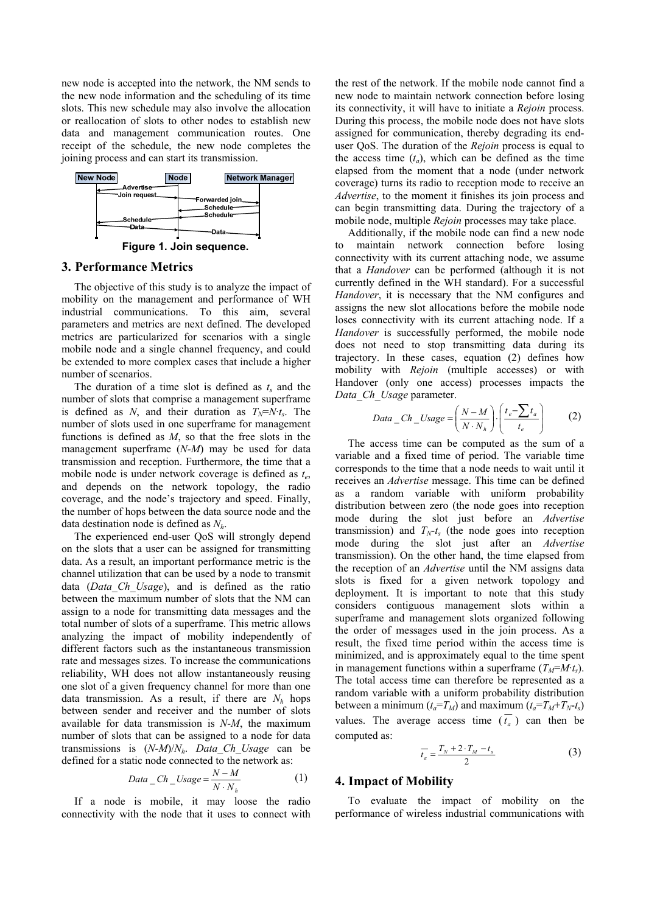new node is accepted into the network, the NM sends to the new node information and the scheduling of its time slots. This new schedule may also involve the allocation or reallocation of slots to other nodes to establish new data and management communication routes. One receipt of the schedule, the new node completes the joining process and can start its transmission.



## **3. Performance Metrics**

The objective of this study is to analyze the impact of mobility on the management and performance of WH industrial communications. To this aim, several parameters and metrics are next defined. The developed metrics are particularized for scenarios with a single mobile node and a single channel frequency, and could be extended to more complex cases that include a higher number of scenarios.

The duration of a time slot is defined as  $t_s$  and the number of slots that comprise a management superframe is defined as *N*, and their duration as  $T_N = N \cdot t_s$ . The number of slots used in one superframe for management functions is defined as *M*, so that the free slots in the management superframe (*N-M*) may be used for data transmission and reception. Furthermore, the time that a mobile node is under network coverage is defined as *te*, and depends on the network topology, the radio coverage, and the node's trajectory and speed. Finally, the number of hops between the data source node and the data destination node is defined as *Nh*.

The experienced end-user QoS will strongly depend on the slots that a user can be assigned for transmitting data. As a result, an important performance metric is the channel utilization that can be used by a node to transmit data (*Data\_Ch\_Usage*), and is defined as the ratio between the maximum number of slots that the NM can assign to a node for transmitting data messages and the total number of slots of a superframe. This metric allows analyzing the impact of mobility independently of different factors such as the instantaneous transmission rate and messages sizes. To increase the communications reliability, WH does not allow instantaneously reusing one slot of a given frequency channel for more than one data transmission. As a result, if there are  $N_h$  hops between sender and receiver and the number of slots available for data transmission is *N-M*, the maximum number of slots that can be assigned to a node for data transmissions is (*N-M*)/*Nh*. *Data\_Ch\_Usage* can be defined for a static node connected to the network as:

$$
Data\_Ch\_Usage = \frac{N - M}{N \cdot N_h}
$$
 (1)

If a node is mobile, it may loose the radio connectivity with the node that it uses to connect with

the rest of the network. If the mobile node cannot find a new node to maintain network connection before losing its connectivity, it will have to initiate a *Rejoin* process. During this process, the mobile node does not have slots assigned for communication, thereby degrading its enduser QoS. The duration of the *Rejoin* process is equal to the access time  $(t_a)$ , which can be defined as the time elapsed from the moment that a node (under network coverage) turns its radio to reception mode to receive an *Advertise*, to the moment it finishes its join process and can begin transmitting data. During the trajectory of a mobile node, multiple *Rejoin* processes may take place.

Additionally, if the mobile node can find a new node to maintain network connection before losing connectivity with its current attaching node, we assume that a *Handover* can be performed (although it is not currently defined in the WH standard). For a successful *Handover*, it is necessary that the NM configures and assigns the new slot allocations before the mobile node loses connectivity with its current attaching node. If a *Handover* is successfully performed, the mobile node does not need to stop transmitting data during its trajectory. In these cases, equation (2) defines how mobility with *Rejoin* (multiple accesses) or with Handover (only one access) processes impacts the *Data\_Ch\_Usage* parameter.

$$
Data\_Ch\_Usage = \left(\frac{N-M}{N\cdot N_h}\right) \cdot \left(\frac{t_e - \sum t_a}{t_e}\right) \tag{2}
$$

The access time can be computed as the sum of a variable and a fixed time of period. The variable time corresponds to the time that a node needs to wait until it receives an *Advertise* message. This time can be defined as a random variable with uniform probability distribution between zero (the node goes into reception mode during the slot just before an *Advertise* transmission) and  $T_N-t_s$  (the node goes into reception mode during the slot just after an *Advertise* transmission). On the other hand, the time elapsed from the reception of an *Advertise* until the NM assigns data slots is fixed for a given network topology and deployment. It is important to note that this study considers contiguous management slots within a superframe and management slots organized following the order of messages used in the join process. As a result, the fixed time period within the access time is minimized, and is approximately equal to the time spent in management functions within a superframe  $(T_M = M \cdot t_s)$ . The total access time can therefore be represented as a random variable with a uniform probability distribution between a minimum  $(t_a = T_M)$  and maximum  $(t_a = T_M + T_N - t_s)$ values. The average access time  $(t_a)$  can then be computed as:

$$
\overline{t_a} = \frac{T_N + 2 \cdot T_M - t_s}{2} \tag{3}
$$

# **4. Impact of Mobility**

To evaluate the impact of mobility on the performance of wireless industrial communications with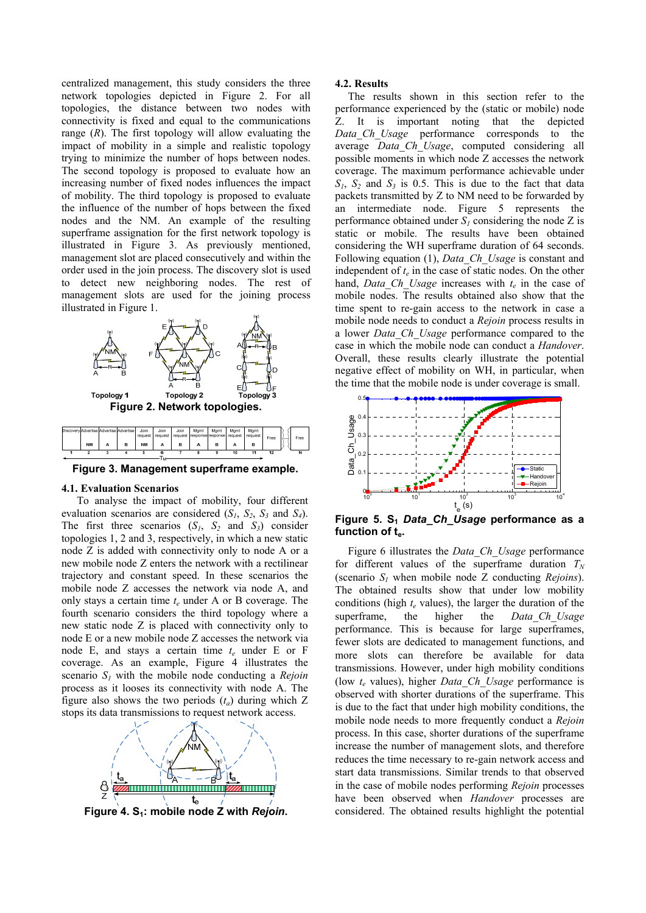centralized management, this study considers the three network topologies depicted in Figure 2. For all topologies, the distance between two nodes with connectivity is fixed and equal to the communications range (*R*). The first topology will allow evaluating the impact of mobility in a simple and realistic topology trying to minimize the number of hops between nodes. The second topology is proposed to evaluate how an increasing number of fixed nodes influences the impact of mobility. The third topology is proposed to evaluate the influence of the number of hops between the fixed nodes and the NM. An example of the resulting superframe assignation for the first network topology is illustrated in Figure 3. As previously mentioned, management slot are placed consecutively and within the order used in the join process. The discovery slot is used to detect new neighboring nodes. The rest of management slots are used for the joining process illustrated in Figure 1.



**Figure 3. Management superframe example.** 

#### **4.1. Evaluation Scenarios**

To analyse the impact of mobility, four different evaluation scenarios are considered  $(S_1, S_2, S_3$  and  $S_4$ ). The first three scenarios  $(S_1, S_2 \text{ and } S_3)$  consider topologies 1, 2 and 3, respectively, in which a new static node Z is added with connectivity only to node A or a new mobile node Z enters the network with a rectilinear trajectory and constant speed. In these scenarios the mobile node Z accesses the network via node A, and only stays a certain time *te* under A or B coverage. The fourth scenario considers the third topology where a new static node Z is placed with connectivity only to node E or a new mobile node Z accesses the network via node E, and stays a certain time  $t_e$  under E or F coverage. As an example, Figure 4 illustrates the scenario  $S_l$  with the mobile node conducting a *Rejoin* process as it looses its connectivity with node A. The figure also shows the two periods  $(t_a)$  during which Z stops its data transmissions to request network access.



Figure 4. S<sub>1</sub>: mobile node Z with *Rejoin*.

# **4.2. Results**

The results shown in this section refer to the performance experienced by the (static or mobile) node Z. It is important noting that the depicted *Data\_Ch\_Usage* performance corresponds to the average *Data\_Ch\_Usage*, computed considering all possible moments in which node Z accesses the network coverage. The maximum performance achievable under  $S_1$ ,  $S_2$  and  $S_3$  is 0.5. This is due to the fact that data packets transmitted by Z to NM need to be forwarded by an intermediate node. Figure 5 represents the performance obtained under  $S_l$  considering the node Z is static or mobile. The results have been obtained considering the WH superframe duration of 64 seconds. Following equation (1), *Data\_Ch\_Usage* is constant and independent of  $t_e$  in the case of static nodes. On the other hand, *Data\_Ch\_Usage* increases with *te* in the case of mobile nodes. The results obtained also show that the time spent to re-gain access to the network in case a mobile node needs to conduct a *Rejoin* process results in a lower *Data\_Ch\_Usage* performance compared to the case in which the mobile node can conduct a *Handover*. Overall, these results clearly illustrate the potential negative effect of mobility on WH, in particular, when the time that the mobile node is under coverage is small.



Figure 5. S<sub>1</sub> Data\_Ch\_Usage performance as a function of t<sub>e</sub>.

Figure 6 illustrates the *Data\_Ch\_Usage* performance for different values of the superframe duration  $T_N$ (scenario *S1* when mobile node Z conducting *Rejoins*). The obtained results show that under low mobility conditions (high  $t_e$  values), the larger the duration of the superframe, the higher the *Data Ch Usage* performance. This is because for large superframes, fewer slots are dedicated to management functions, and more slots can therefore be available for data transmissions. However, under high mobility conditions (low  $t_e$  values), higher *Data Ch Usage* performance is observed with shorter durations of the superframe. This is due to the fact that under high mobility conditions, the mobile node needs to more frequently conduct a *Rejoin* process. In this case, shorter durations of the superframe increase the number of management slots, and therefore reduces the time necessary to re-gain network access and start data transmissions. Similar trends to that observed in the case of mobile nodes performing *Rejoin* processes have been observed when *Handover* processes are considered. The obtained results highlight the potential